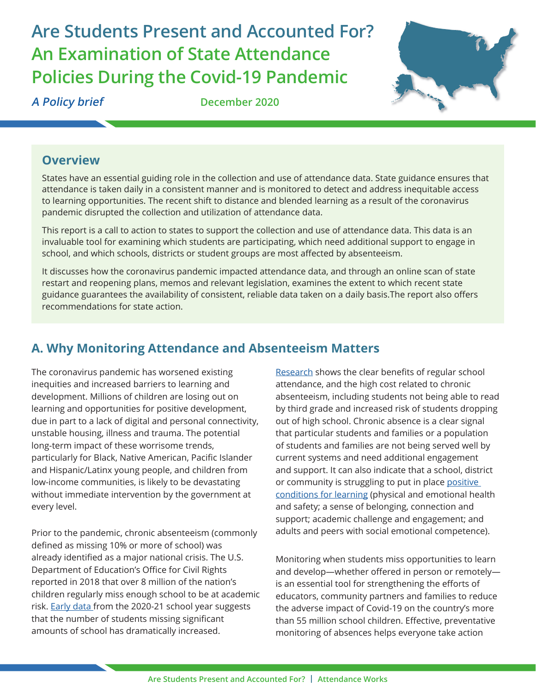# **Are Students Present and Accounted For? An Examination of State Attendance Policies During the Covid-19 Pandemic**



**A Policy brief December 2020**

## **Overview**

States have an essential guiding role in the collection and use of attendance data. State guidance ensures that attendance is taken daily in a consistent manner and is monitored to detect and address inequitable access to learning opportunities. The recent shift to distance and blended learning as a result of the coronavirus pandemic disrupted the collection and utilization of attendance data.

This report is a call to action to states to support the collection and use of attendance data. This data is an invaluable tool for examining which students are participating, which need additional support to engage in school, and which schools, districts or student groups are most affected by absenteeism.

It discusses how the coronavirus pandemic impacted attendance data, and through an online scan of state restart and reopening plans, memos and relevant legislation, examines the extent to which recent state guidance guarantees the availability of consistent, reliable data taken on a daily basis.The report also offers recommendations for state action.

# **A. Why Monitoring Attendance and Absenteeism Matters**

The coronavirus pandemic has worsened existing inequities and increased barriers to learning and development. Millions of children are losing out on learning and opportunities for positive development, due in part to a lack of digital and personal connectivity, unstable housing, illness and trauma. The potential long-term impact of these worrisome trends, particularly for Black, Native American, Pacific Islander and Hispanic/Latinx young people, and children from low-income communities, is likely to be devastating without immediate intervention by the government at every level.

Prior to the pandemic, chronic absenteeism (commonly defined as missing 10% or more of school) was already identified as a major national crisis. The U.S. Department of Education's Office for Civil Rights reported in 2018 that over 8 million of the nation's children regularly miss enough school to be at academic risk[. Early data](https://www.attendanceworks.org/emerging-attendance-data-reveals-troubling-early-trends/) from the 2020-21 school year suggests that the number of students missing significant amounts of school has dramatically increased.

[Research s](https://www.attendanceworks.org/wp-content/uploads/2017/09/Research2016.pdf)hows the clear benefits of regular school attendance, and the high cost related to chronic absenteeism, including students not being able to read by third grade and increased risk of students dropping out of high school. Chronic absence is a clear signal that particular students and families or a population of students and families are not being served well by current systems and need additional engagement and support. It can also indicate that a school, district or community is struggling to put in plac[e positive](https://www.attendanceworks.org/using-chronic-absence-data-to-improve-conditions-for-learning/)  [conditions for learning \(](https://www.attendanceworks.org/using-chronic-absence-data-to-improve-conditions-for-learning/)physical and emotional health and safety; a sense of belonging, connection and support; academic challenge and engagement; and adults and peers with social emotional competence).

Monitoring when students miss opportunities to learn and develop—whether offered in person or remotely is an essential tool for strengthening the efforts of educators, community partners and families to reduce the adverse impact of Covid-19 on the country's more than 55 million school children. Effective, preventative monitoring of absences helps everyone take action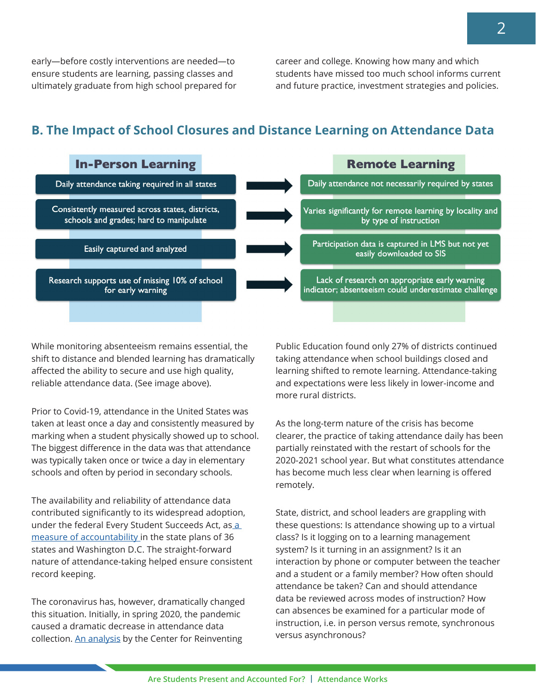early—before costly interventions are needed—to ensure students are learning, passing classes and ultimately graduate from high school prepared for career and college. Knowing how many and which students have missed too much school informs current and future practice, investment strategies and policies.

# **B. The Impact of School Closures and Distance Learning on Attendance Data**



While monitoring absenteeism remains essential, the shift to distance and blended learning has dramatically affected the ability to secure and use high quality, reliable attendance data. (See image above).

Prior to Covid-19, attendance in the United States was taken at least once a day and consistently measured by marking when a student physically showed up to school. The biggest difference in the data was that attendance was typically taken once or twice a day in elementary schools and often by period in secondary schools.

The availability and reliability of attendance data contributed significantly to its widespread adoption, under the federal Every Student Succeeds Act, as a measure of accountability in the state plans of 36 states and Washington D.C. The straight-forward nature of attendance-taking helped ensure consistent record keeping.

The coronavirus has, however, dramatically changed this situation. Initially, in spring 2020, the pandemic caused a dramatic decrease in attendance data collection. [An analysis](https://www.crpe.org/publications/too-many-schools-leave-learning-chance-during-pandemic) by the Center for Reinventing

Public Education found only 27% of districts continued taking attendance when school buildings closed and learning shifted to remote learning. Attendance-taking and expectations were less likely in lower-income and more rural districts.

As the long-term nature of the crisis has become clearer, the practice of taking attendance daily has been partially reinstated with the restart of schools for the 2020-2021 school year. But what constitutes attendance has become much less clear when learning is offered remotely.

State, district, and school leaders are grappling with these questions: Is attendance showing up to a virtual class? Is it logging on to a learning management system? Is it turning in an assignment? Is it an interaction by phone or computer between the teacher and a student or a family member? How often should attendance be taken? Can and should attendance data be reviewed across modes of instruction? How can absences be examined for a particular mode of instruction, i.e. in person versus remote, synchronous versus asynchronous?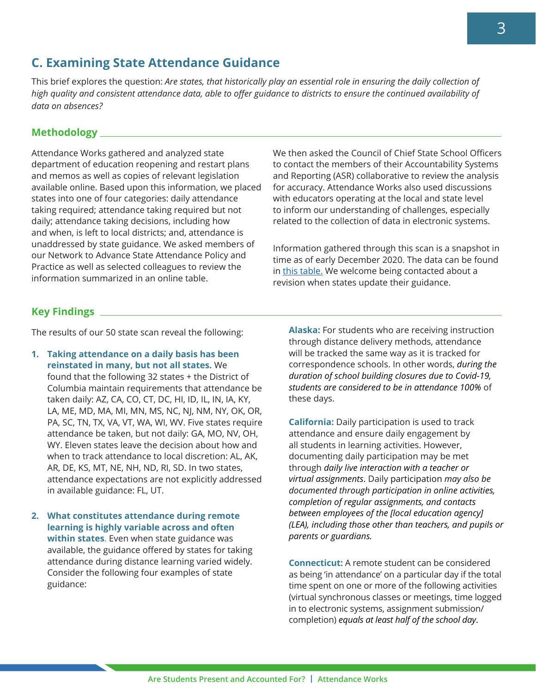### **C. Examining State Attendance Guidance**

This brief explores the question: *Are states, that historically play an essential role in ensuring the daily collection of high quality and consistent attendance data, able to offer guidance to districts to ensure the continued availability of data on absences?*

#### **Methodology**

Attendance Works gathered and analyzed state department of education reopening and restart plans and memos as well as copies of relevant legislation available online. Based upon this information, we placed states into one of four categories: daily attendance taking required; attendance taking required but not daily; attendance taking decisions, including how and when, is left to local districts; and, attendance is unaddressed by state guidance. We asked members of our Network to Advance State Attendance Policy and Practice as well as selected colleagues to review the information summarized in an online table.

We then asked the Council of Chief State School Officers to contact the members of their Accountability Systems and Reporting (ASR) collaborative to review the analysis for accuracy. Attendance Works also used discussions with educators operating at the local and state level to inform our understanding of challenges, especially related to the collection of data in electronic systems.

Information gathered through this scan is a snapshot in time as of early December 2020. The data can be found i[n this table. W](https://docs.google.com/spreadsheets/d/1yPN-Qq_VqTygfB-c4tkIEekR1a6eGWhulcSiQTM2OPQ/edit#gid=764715429)e welcome being contacted about a revision when states update their guidance.

#### **Key Findings**

The results of ou[r 50 state scan](https://docs.google.com/spreadsheets/d/1yPN-Qq_VqTygfB-c4tkIEekR1a6eGWhulcSiQTM2OPQ/edit#gid=764715429) reveal the following:

- **1. Taking attendance on a daily basis has been reinstated in many, but not all states.** We found that the following 32 states + the District of Columbia maintain requirements that attendance be taken daily: AZ, CA, CO, CT, DC, HI, ID, IL, IN, IA, KY, LA, ME, MD, MA, MI, MN, MS, NC, NJ, NM, NY, OK, OR, PA, SC, TN, TX, VA, VT, WA, WI, WV. Five states require attendance be taken, but not daily: GA, MO, NV, OH, WY. Eleven states leave the decision about how and when to track attendance to local discretion: AL, AK, AR, DE, KS, MT, NE, NH, ND, RI, SD. In two states, attendance expectations are not explicitly addressed in available guidance: FL, UT.
- **2. What constitutes attendance during remote learning is highly variable across and often within states**. Even when state guidance was available, the guidance offered by states for taking attendance during distance learning varied widely. Consider the following four examples of state guidance:

**Alaska:** For students who are receiving instruction through distance delivery methods, attendance will be tracked the same way as it is tracked for correspondence schools. In other words, *during the duration of school building closures due to Covid-19, students are considered to be in attendance 100%* of these days.

**California:** Daily participation is used to track attendance and ensure daily engagement by all students in learning activities. However, documenting daily participation may be met through *daily live interaction with a teacher or virtual assignments*. Daily participation *may also be documented through participation in online activities, completion of regular assignments, and contacts between employees of the [local education agency] (LEA), including those other than teachers, and pupils or parents or guardians.*

**Connecticut:** A remote student can be considered as being 'in attendance' on a particular day if the total time spent on one or more of the following activities (virtual synchronous classes or meetings, time logged in to electronic systems, assignment submission/ completion) *equals at least half of the school day*.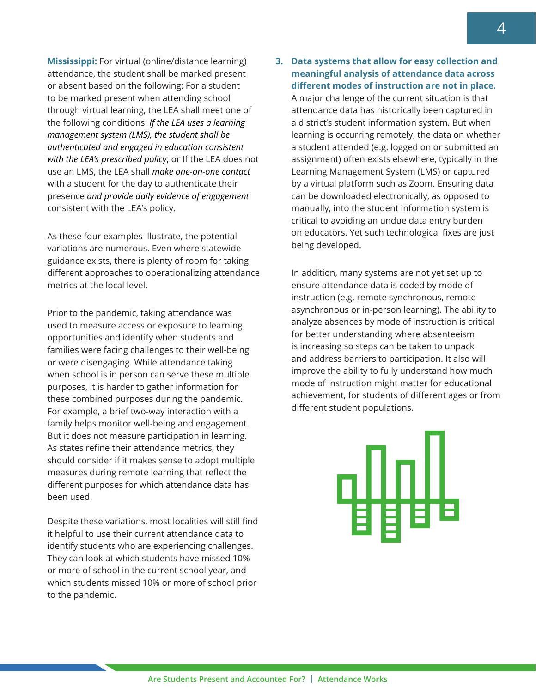**Mississippi:** For virtual (online/distance learning) attendance, the student shall be marked present or absent based on the following: For a student to be marked present when attending school through virtual learning, the LEA shall meet one of the following conditions: *If the LEA uses a learning management system (LMS), the student shall be authenticated and engaged in education consistent with the LEA's prescribed policy*; or If the LEA does not use an LMS, the LEA shall *make one-on-one contact* with a student for the day to authenticate their presence *and provide daily evidence of engagement* consistent with the LEA's policy.

As these four examples illustrate, the potential variations are numerous. Even where statewide guidance exists, there is plenty of room for taking different approaches to operationalizing attendance metrics at the local level.

Prior to the pandemic, taking attendance was used to measure access or exposure to learning opportunities and identify when students and families were facing challenges to their well-being or were disengaging. While attendance taking when school is in person can serve these multiple purposes, it is harder to gather information for these combined purposes during the pandemic. For example, a brief two-way interaction with a family helps monitor well-being and engagement. But it does not measure participation in learning. As states refine their attendance metrics, they should consider if it makes sense to adopt multiple measures during remote learning that reflect the different purposes for which attendance data has been used.

Despite these variations, most localities will still find it helpful to use their current attendance data to identify students who are experiencing challenges. They can look at which students have missed 10% or more of school in the current school year, and which students missed 10% or more of school prior to the pandemic.

#### **3. Data systems that allow for easy collection and meaningful analysis of attendance data across different modes of instruction are not in place.**

A major challenge of the current situation is that attendance data has historically been captured in a district's student information system. But when learning is occurring remotely, the data on whether a student attended (e.g. logged on or submitted an assignment) often exists elsewhere, typically in the Learning Management System (LMS) or captured by a virtual platform such as Zoom. Ensuring data can be downloaded electronically, as opposed to manually, into the student information system is critical to avoiding an undue data entry burden on educators. Yet such technological fixes are just being developed.

In addition, many systems are not yet set up to ensure attendance data is coded by mode of instruction (e.g. remote synchronous, remote asynchronous or in-person learning). The ability to analyze absences by mode of instruction is critical for better understanding where absenteeism is increasing so steps can be taken to unpack and address barriers to participation. It also will improve the ability to fully understand how much mode of instruction might matter for educational achievement, for students of different ages or from different student populations.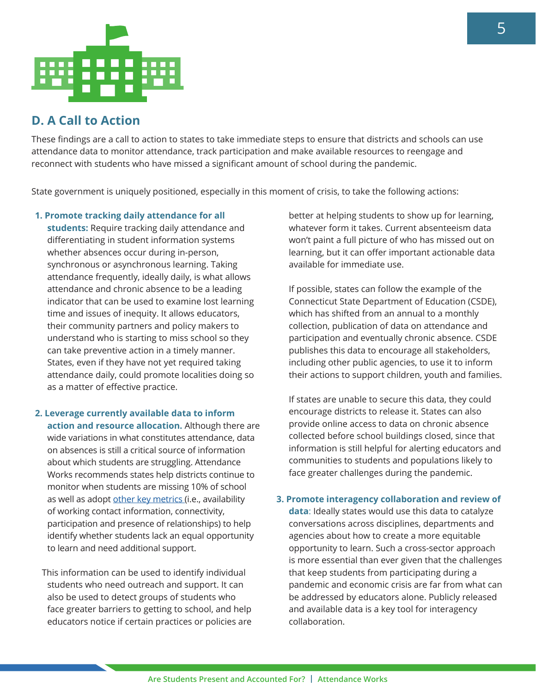

# **D. A Call to Action**

These findings are a call to action to states to take immediate steps to ensure that districts and schools can use attendance data to monitor attendance, track participation and make available resources to reengage and reconnect with students who have missed a significant amount of school during the pandemic.

State government is uniquely positioned, especially in this moment of crisis, to take the following actions:

- **1. Promote tracking daily attendance for all students:** Require tracking daily attendance and differentiating in student information systems whether absences occur during in-person, synchronous or asynchronous learning. Taking attendance frequently, ideally daily, is what allows attendance and chronic absence to be a leading indicator that can be used to examine lost learning time and issues of inequity. It allows educators, their community partners and policy makers to understand who is starting to miss school so they can take preventive action in a timely manner. States, even if they have not yet required taking attendance daily, could promote localities doing so as a matter of effective practice.
- **2. Leverage currently available data to inform action and resource allocation.** Although there are wide variations in what constitutes attendance, data on absences is still a critical source of information about which students are struggling. Attendance Works recommends states help districts continue to monitor when students are missing 10% of school as well as adopt [other key metrics \(](https://www.attendanceworks.org/chronic-absence/addressing-chronic-absence/monitoring-attendance-in-distance-learning/)i.e., availability of working contact information, connectivity, participation and presence of relationships) to help identify whether students lack an equal opportunity to learn and need additional support.

 This information can be used to identify individual students who need outreach and support. It can also be used to detect groups of students who face greater barriers to getting to school, and help educators notice if certain practices or policies are

better at helping students to show up for learning, whatever form it takes. Current absenteeism data won't paint a full picture of who has missed out on learning, but it can offer important actionable data available for immediate use.

If possible, states can follow the example of the Connecticut State Department of Education (CSDE), which has shifted from an annual to a monthly collection, publication of data on attendance and participation and eventually chronic absence. CSDE publishes this data to encourage all stakeholders, including other public agencies, to use it to inform their actions to support children, youth and families.

If states are unable to secure this data, they could encourage districts to release it. States can also provide online access to data on chronic absence collected before school buildings closed, since that information is still helpful for alerting educators and communities to students and populations likely to face greater challenges during the pandemic.

#### **3. Promote interagency collaboration and review of**

**data**: Ideally states would use this data to catalyze conversations across disciplines, departments and agencies about how to create a more equitable opportunity to learn. Such a cross-sector approach is more essential than ever given that the challenges that keep students from participating during a pandemic and economic crisis are far from what can be addressed by educators alone. Publicly released and available data is a key tool for interagency collaboration.